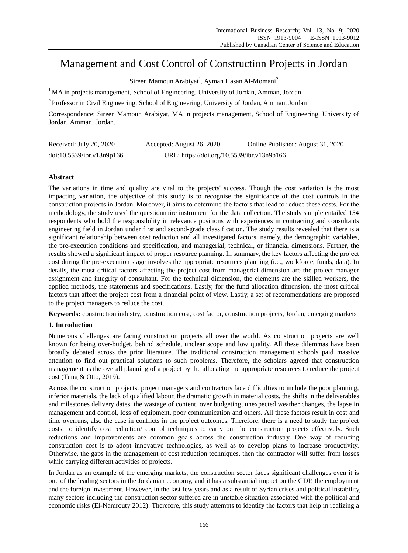# Management and Cost Control of Construction Projects in Jordan

Sireen Mamoun Arabiyat<sup>1</sup>, Ayman Hasan Al-Momani<sup>2</sup>

<sup>1</sup>MA in projects management, School of Engineering, University of Jordan, Amman, Jordan

<sup>2</sup>Professor in Civil Engineering, School of Engineering, University of Jordan, Amman, Jordan

Correspondence: Sireen Mamoun Arabiyat, MA in projects management, School of Engineering, University of Jordan, Amman, Jordan.

| Received: July 20, 2020   | Accepted: August 26, 2020                  | Online Published: August 31, 2020 |
|---------------------------|--------------------------------------------|-----------------------------------|
| doi:10.5539/ibr.v13n9p166 | URL: https://doi.org/10.5539/ibr.v13n9p166 |                                   |

# **Abstract**

The variations in time and quality are vital to the projects' success. Though the cost variation is the most impacting variation, the objective of this study is to recognise the significance of the cost controls in the construction projects in Jordan. Moreover, it aims to determine the factors that lead to reduce these costs. For the methodology, the study used the questionnaire instrument for the data collection. The study sample entailed 154 respondents who hold the responsibility in relevance positions with experiences in contracting and consultants engineering field in Jordan under first and second-grade classification. The study results revealed that there is a significant relationship between cost reduction and all investigated factors, namely, the demographic variables, the pre-execution conditions and specification, and managerial, technical, or financial dimensions. Further, the results showed a significant impact of proper resource planning. In summary, the key factors affecting the project cost during the pre-execution stage involves the appropriate resources planning (i.e., workforce, funds, data). In details, the most critical factors affecting the project cost from managerial dimension are the project manager assignment and integrity of consultant. For the technical dimension, the elements are the skilled workers, the applied methods, the statements and specifications. Lastly, for the fund allocation dimension, the most critical factors that affect the project cost from a financial point of view. Lastly, a set of recommendations are proposed to the project managers to reduce the cost.

**Keywords:** construction industry, construction cost, cost factor, construction projects, Jordan, emerging markets

# **1. Introduction**

Numerous challenges are facing construction projects all over the world. As construction projects are well known for being over-budget, behind schedule, unclear scope and low quality. All these dilemmas have been broadly debated across the prior literature. The traditional construction management schools paid massive attention to find out practical solutions to such problems. Therefore, the scholars agreed that construction management as the overall planning of a project by the allocating the appropriate resources to reduce the project cost (Tung & Otto, 2019).

Across the construction projects, project managers and contractors face difficulties to include the poor planning, inferior materials, the lack of qualified labour, the dramatic growth in material costs, the shifts in the deliverables and milestones delivery dates, the wastage of content, over budgeting, unexpected weather changes, the lapse in management and control, loss of equipment, poor communication and others. All these factors result in cost and time overruns, also the case in conflicts in the project outcomes. Therefore, there is a need to study the project costs, to identify cost reduction/ control techniques to carry out the construction projects effectively. Such reductions and improvements are common goals across the construction industry. One way of reducing construction cost is to adopt innovative technologies, as well as to develop plans to increase productivity. Otherwise, the gaps in the management of cost reduction techniques, then the contractor will suffer from losses while carrying different activities of projects.

In Jordan as an example of the emerging markets, the construction sector faces significant challenges even it is one of the leading sectors in the Jordanian economy, and it has a substantial impact on the GDP, the employment and the foreign investment. However, in the last few years and as a result of Syrian crises and political instability, many sectors including the construction sector suffered are in unstable situation associated with the political and economic risks (El-Namrouty 2012). Therefore, this study attempts to identify the factors that help in realizing a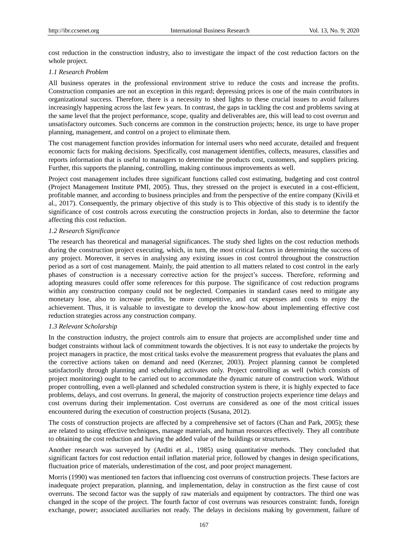cost reduction in the construction industry, also to investigate the impact of the cost reduction factors on the whole project.

#### *1.1 Research Problem*

All business operates in the professional environment strive to reduce the costs and increase the profits. Construction companies are not an exception in this regard; depressing prices is one of the main contributors in organizational success. Therefore, there is a necessity to shed lights to these crucial issues to avoid failures increasingly happening across the last few years. In contrast, the gaps in tackling the cost and problems saving at the same level that the project performance, scope, quality and deliverables are, this will lead to cost overrun and unsatisfactory outcomes. Such concerns are common in the construction projects; hence, its urge to have proper planning, management, and control on a project to eliminate them.

The cost management function provides information for internal users who need accurate, detailed and frequent economic facts for making decisions. Specifically, cost management identifies, collects, measures, classifies and reports information that is useful to managers to determine the products cost, customers, and suppliers pricing. Further, this supports the planning, controlling, making continuous improvements as well.

Project cost management includes three significant functions called cost estimating, budgeting and cost control (Project Management Institute PMI, 2005). Thus, they stressed on the project is executed in a cost-efficient, profitable manner, and according to business principles and from the perspective of the entire company (Kivilä et al., 2017). Consequently, the primary objective of this study is to This objective of this study is to identify the significance of cost controls across executing the construction projects in Jordan, also to determine the factor affecting this cost reduction.

#### *1.2 Research Significance*

The research has theoretical and managerial significances. The study shed lights on the cost reduction methods during the construction project executing, which, in turn, the most critical factors in determining the success of any project. Moreover, it serves in analysing any existing issues in cost control throughout the construction period as a sort of cost management. Mainly, the paid attention to all matters related to cost control in the early phases of construction is a necessary corrective action for the project's success. Therefore, reforming and adopting measures could offer some references for this purpose. The significance of cost reduction programs within any construction company could not be neglected. Companies in standard cases need to mitigate any monetary lose, also to increase profits, be more competitive, and cut expenses and costs to enjoy the achievement. Thus, it is valuable to investigate to develop the know-how about implementing effective cost reduction strategies across any construction company.

#### *1.3 Relevant Scholarship*

In the construction industry, the project controls aim to ensure that projects are accomplished under time and budget constraints without lack of commitment towards the objectives. It is not easy to undertake the projects by project managers in practice, the most critical tasks evolve the measurement progress that evaluates the plans and the corrective actions taken on demand and need (Kerzner, 2003). Project planning cannot be completed satisfactorily through planning and scheduling activates only. Project controlling as well (which consists of project monitoring) ought to be carried out to accommodate the dynamic nature of construction work. Without proper controlling, even a well-planned and scheduled construction system is there, it is highly expected to face problems, delays, and cost overruns. In general, the majority of construction projects experience time delays and cost overruns during their implementation. Cost overruns are considered as one of the most critical issues encountered during the execution of construction projects (Susana, 2012).

The costs of construction projects are affected by a comprehensive set of factors (Chan and Park, 2005); these are related to using effective techniques, manage materials, and human resources effectively. They all contribute to obtaining the cost reduction and having the added value of the buildings or structures.

Another research was surveyed by (Arditi et al., 1985) using quantitative methods. They concluded that significant factors for cost reduction entail inflation material price, followed by changes in design specifications, fluctuation price of materials, underestimation of the cost, and poor project management.

Morris (1990) was mentioned ten factors that influencing cost overruns of construction projects. These factors are inadequate project preparation, planning, and implementation, delay in construction as the first cause of cost overruns. The second factor was the supply of raw materials and equipment by contractors. The third one was changed in the scope of the project. The fourth factor of cost overruns was resources constraint: funds, foreign exchange, power; associated auxiliaries not ready. The delays in decisions making by government, failure of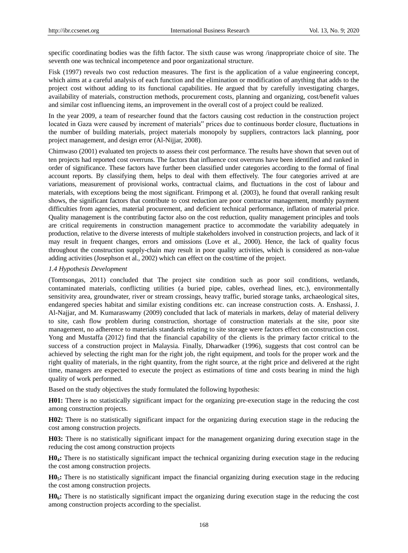specific coordinating bodies was the fifth factor. The sixth cause was wrong /inappropriate choice of site. The seventh one was technical incompetence and poor organizational structure.

Fisk (1997) reveals two cost reduction measures. The first is the application of a value engineering concept, which aims at a careful analysis of each function and the elimination or modification of anything that adds to the project cost without adding to its functional capabilities. He argued that by carefully investigating charges, availability of materials, construction methods, procurement costs, planning and organizing, cost/benefit values and similar cost influencing items, an improvement in the overall cost of a project could be realized.

In the year 2009, a team of researcher found that the factors causing cost reduction in the construction project located in Gaza were caused by increment of materials" prices due to continuous border closure, fluctuations in the number of building materials, project materials monopoly by suppliers, contractors lack planning, poor project management, and design error (Al-Nijjar, 2008).

Chimwaso (2001) evaluated ten projects to assess their cost performance. The results have shown that seven out of ten projects had reported cost overruns. The factors that influence cost overruns have been identified and ranked in order of significance. These factors have further been classified under categories according to the formal of final account reports. By classifying them, helps to deal with them effectively. The four categories arrived at are variations, measurement of provisional works, contractual claims, and fluctuations in the cost of labour and materials, with exceptions being the most significant. Frimpong et al. (2003), he found that overall ranking result shows, the significant factors that contribute to cost reduction are poor contractor management, monthly payment difficulties from agencies, material procurement, and deficient technical performance, inflation of material price. Quality management is the contributing factor also on the cost reduction, quality management principles and tools are critical requirements in construction management practice to accommodate the variability adequately in production, relative to the diverse interests of multiple stakeholders involved in construction projects, and lack of it may result in frequent changes, errors and omissions (Love et al., 2000). Hence, the lack of quality focus throughout the construction supply-chain may result in poor quality activities, which is considered as non-value adding activities (Josephson et al., 2002) which can effect on the cost/time of the project.

#### *1.4 Hypothesis Development*

(Tomtsongas, 2011) concluded that The project site condition such as poor soil conditions, wetlands, contaminated materials, conflicting utilities (a buried pipe, cables, overhead lines, etc.), environmentally sensitivity area, groundwater, river or stream crossings, heavy traffic, buried storage tanks, archaeological sites, endangered species habitat and similar existing conditions etc. can increase construction costs. A. Enshassi, J. Al-Najjar, and M. Kumaraswamy (2009) concluded that lack of materials in markets, delay of material delivery to site, cash flow problem during construction, shortage of construction materials at the site, poor site management, no adherence to materials standards relating to site storage were factors effect on construction cost. Yong and Mustaffa (2012) find that the financial capability of the clients is the primary factor critical to the success of a construction project in Malaysia. Finally, Dharwadker (1996), suggests that cost control can be achieved by selecting the right man for the right job, the right equipment, and tools for the proper work and the right quality of materials, in the right quantity, from the right source, at the right price and delivered at the right time, managers are expected to execute the project as estimations of time and costs bearing in mind the high quality of work performed.

Based on the study objectives the study formulated the following hypothesis:

**H01:** There is no statistically significant impact for the organizing pre-execution stage in the reducing the cost among construction projects.

**H02:** There is no statistically significant impact for the organizing during execution stage in the reducing the cost among construction projects.

**H03:** There is no statistically significant impact for the management organizing during execution stage in the reducing the cost among construction projects

**H04:** There is no statistically significant impact the technical organizing during execution stage in the reducing the cost among construction projects.

**H05:** There is no statistically significant impact the financial organizing during execution stage in the reducing the cost among construction projects.

**H06:** There is no statistically significant impact the organizing during execution stage in the reducing the cost among construction projects according to the specialist.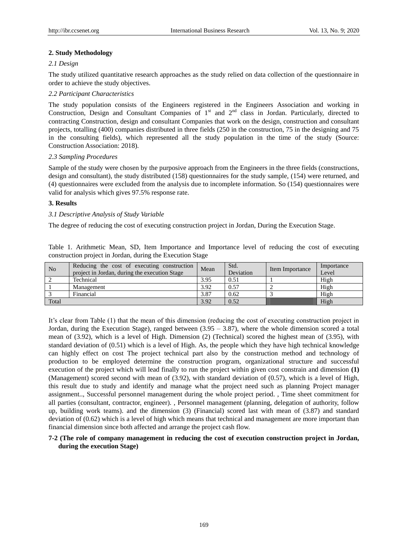# **2. Study Methodology**

# *2.1 Design*

The study utilized quantitative research approaches as the study relied on data collection of the questionnaire in order to achieve the study objectives.

# *2.2 Participant Characteristics*

The study population consists of the Engineers registered in the Engineers Association and working in Construction, Design and Consultant Companies of 1<sup>st</sup> and 2<sup>nd</sup> class in Jordan. Particularly, directed to contracting Construction, design and consultant Companies that work on the design, construction and consultant projects, totalling (400) companies distributed in three fields (250 in the construction, 75 in the designing and 75 in the consulting fields), which represented all the study population in the time of the study (Source: Construction Association: 2018).

## *2.3 Sampling Procedures*

Sample of the study were chosen by the purposive approach from the Engineers in the three fields (constructions, design and consultant), the study distributed (158) questionnaires for the study sample, (154) were returned, and (4) questionnaires were excluded from the analysis due to incomplete information. So (154) questionnaires were valid for analysis which gives 97.5% response rate.

# **3. Results**

# *3.1 Descriptive Analysis of Study Variable*

The degree of reducing the cost of executing construction project in Jordan, During the Execution Stage.

Table 1. Arithmetic Mean, SD, Item Importance and Importance level of reducing the cost of executing construction project in Jordan, during the Execution Stage

| N <sub>o</sub> | Reducing the cost of executing construction<br>project in Jordan, during the execution Stage | Mean | Std.<br>Deviation | Item Importance | Importance<br>Level |
|----------------|----------------------------------------------------------------------------------------------|------|-------------------|-----------------|---------------------|
|                | Technical                                                                                    | 3.95 | 0.51              |                 | High                |
|                | Management                                                                                   | 3.92 | 0.57              |                 | High                |
|                | Financial                                                                                    | 3.87 | 0.62              |                 | High                |
| Total          |                                                                                              | 3.92 | 0.52              |                 | High                |

It's clear from Table (1) that the mean of this dimension (reducing the cost of executing construction project in Jordan, during the Execution Stage), ranged between  $(3.95 - 3.87)$ , where the whole dimension scored a total mean of (3.92), which is a level of High. Dimension (2) (Technical) scored the highest mean of (3.95), with standard deviation of (0.51) which is a level of High. As, the people which they have high technical knowledge can highly effect on cost The project technical part also by the construction method and technology of production to be employed determine the construction program, organizational structure and successful execution of the project which will lead finally to run the project within given cost constrain and dimension **(1)** (Management) scored second with mean of (3.92), with standard deviation of (0.57), which is a level of High, this result due to study and identify and manage what the project need such as planning Project manager assignment.., Successful personnel management during the whole project period. , Time sheet commitment for all parties (consultant, contractor, engineer). , Personnel management (planning, delegation of authority, follow up, building work teams). and the dimension (3) (Financial) scored last with mean of (3.87) and standard deviation of (0.62) which is a level of high which means that technical and management are more important than financial dimension since both affected and arrange the project cash flow.

# **7-2 (The role of company management in reducing the cost of execution construction project in Jordan, during the execution Stage)**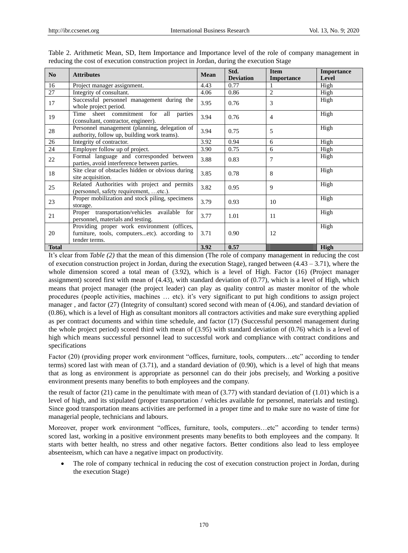| N <sub>0</sub> | <b>Attributes</b>                                                                                             | <b>Mean</b> | Std.<br><b>Deviation</b> | <b>Item</b><br><b>Importance</b> | <b>Importance</b><br>Level |
|----------------|---------------------------------------------------------------------------------------------------------------|-------------|--------------------------|----------------------------------|----------------------------|
| 16             | Project manager assignment.                                                                                   | 4.43        | 0.77                     |                                  | High                       |
| 27             | Integrity of consultant.                                                                                      | 4.06        | 0.86                     | $\overline{2}$                   | High                       |
| 17             | Successful personnel management during the<br>whole project period.                                           | 3.95        | 0.76                     | 3                                | High                       |
| 19             | sheet commitment for all parties<br>Time<br>(consultant, contractor, engineer).                               | 3.94        | 0.76                     | $\overline{4}$                   | High                       |
| 28             | Personnel management (planning, delegation of<br>authority, follow up, building work teams).                  | 3.94        | 0.75                     | 5                                | High                       |
| 26             | Integrity of contractor.                                                                                      | 3.92        | 0.94                     | 6                                | High                       |
| 24             | Employer follow up of project.                                                                                | 3.90        | 0.75                     | 6                                | High                       |
| 22             | Formal language and corresponded between<br>parties, avoid interference between parties.                      | 3.88        | 0.83                     | 7                                | High                       |
| 18             | Site clear of obstacles hidden or obvious during<br>site acquisition.                                         | 3.85        | 0.78                     | 8                                | High                       |
| 25             | Related Authorities with project and permits<br>(personnel, safety requirement,  etc.).                       | 3.82        | 0.95                     | 9                                | High                       |
| 23             | Proper mobilization and stock piling, specimens<br>storage.                                                   | 3.79        | 0.93                     | 10                               | High                       |
| 21             | Proper transportation/vehicles available for<br>personnel, materials and testing.                             | 3.77        | 1.01                     | 11                               | High                       |
| 20             | Providing proper work environment (offices,<br>furniture, tools, computersetc). according to<br>tender terms. | 3.71        | 0.90                     | 12                               | High                       |
| <b>Total</b>   |                                                                                                               | 3.92        | 0.57                     |                                  | High                       |

Table 2. Arithmetic Mean, SD, Item Importance and Importance level of the role of company management in reducing the cost of execution construction project in Jordan, during the execution Stage

It's clear from *Table (2)* that the mean of this dimension (The role of company management in reducing the cost of execution construction project in Jordan, during the execution Stage), ranged between  $(4.43 - 3.71)$ , where the whole dimension scored a total mean of (3.92), which is a level of High. Factor (16) (Project manager assignment) scored first with mean of (4.43), with standard deviation of (0.77), which is a level of High, which means that project manager (the project leader) can play as quality control as master monitor of the whole procedures (people activities, machines … etc). it's very significant to put high conditions to assign project manager , and factor (27) (Integrity of consultant) scored second with mean of (4.06), and standard deviation of (0.86), which is a level of High as consultant monitors all contractors activities and make sure everything applied as per contract documents and within time schedule, and factor (17) (Successful personnel management during the whole project period) scored third with mean of (3.95) with standard deviation of (0.76) which is a level of high which means successful personnel lead to successful work and compliance with contract conditions and specifications

Factor (20) (providing proper work environment "offices, furniture, tools, computers...etc" according to tender terms) scored last with mean of (3.71), and a standard deviation of (0.90), which is a level of high that means that as long as environment is appropriate as personnel can do their jobs precisely, and Working a positive environment presents many benefits to both employees and the company.

the result of factor (21) came in the penultimate with mean of (3.77) with standard deviation of (1.01) which is a level of high, and its stipulated (proper transportation / vehicles available for personnel, materials and testing). Since good transportation means activities are performed in a proper time and to make sure no waste of time for managerial people, technicians and labours.

Moreover, proper work environment "offices, furniture, tools, computers…etc" according to tender terms) scored last, working in a positive environment presents many benefits to both employees and the company. It starts with better health, no stress and other negative factors. Better conditions also lead to less employee absenteeism, which can have a negative impact on productivity.

 The role of company technical in reducing the cost of execution construction project in Jordan, during the execution Stage)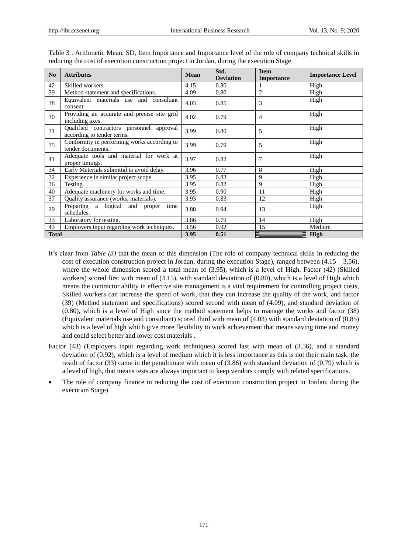| N <sub>0</sub> | <b>Attributes</b>                                                      | <b>Mean</b> | Std.<br><b>Deviation</b> | <b>Item</b><br><b>Importance</b> | <b>Importance Level</b> |
|----------------|------------------------------------------------------------------------|-------------|--------------------------|----------------------------------|-------------------------|
| 42             | Skilled workers.                                                       | 4.15        | 0.80                     |                                  | High                    |
| 39             | Method statement and specifications.                                   | 4.09        | 0.80                     | 2                                | High                    |
| 38             | Equivalent materials use and consultant<br>consent.                    | 4.03        | 0.85                     | 3                                | High                    |
| 30             | Providing an accurate and precise site grid<br>including axes.         | 4.02        | 0.79                     | $\overline{4}$                   | High                    |
| 31             | Qualified contractors personnel approval<br>according to tender terms. | 3.99        | 0.80                     | 5                                | High                    |
| 35             | Conformity in performing works according to<br>tender documents.       | 3.99        | 0.79                     | 5                                | High                    |
| 41             | Adequate tools and material for work at<br>proper timings.             | 3.97        | 0.82                     | 7                                | High                    |
| 34             | Early Materials submittal to avoid delay.                              | 3.96        | 0.77                     | 8                                | High                    |
| 32             | Experience in similar project scope.                                   | 3.95        | 0.83                     | 9                                | High                    |
| 36             | Testing.                                                               | 3.95        | 0.82                     | 9                                | High                    |
| 40             | Adequate machinery for works and time.                                 | 3.95        | 0.90                     | 11                               | High                    |
| 37             | Quality assurance (works, materials).                                  | 3.93        | 0.83                     | 12                               | High                    |
| 29             | Preparing a logical and proper<br>time<br>schedules.                   | 3.88        | 0.94                     | 13                               | High                    |
| 33             | Laboratory for testing.                                                | 3.86        | 0.79                     | 14                               | High                    |
| 43             | Employers input regarding work techniques.                             | 3.56        | 0.92                     | 15                               | Medium                  |
| <b>Total</b>   |                                                                        | 3.95        | 0.51                     |                                  | <b>High</b>             |

Table 3 . Arithmetic Mean, SD, Item Importance and Importance level of the role of company technical skills in reducing the cost of execution construction project in Jordan, during the execution Stage

- It's clear from *Table (3)* that the mean of this dimension (The role of company technical skills in reducing the cost of execution construction project in Jordan, during the execution Stage), ranged between  $(4.15 - 3.56)$ , where the whole dimension scored a total mean of (3.95), which is a level of High. Factor (42) (Skilled workers) scored first with mean of (4.15), with standard deviation of (0.80), which is a level of High which means the contractor ability in effective site management is a vital requirement for controlling project costs, Skilled workers can increase the speed of work, that they can increase the quality of the work, and factor (39) (Method statement and specifications) scored second with mean of (4.09), and standard deviation of (0.80), which is a level of High since the method statement helps to manage the works and factor (38) (Equivalent materials use and consultant) scored third with mean of (4.03) with standard deviation of (0.85) which is a level of high which give more flexibility to work achievement that means saving time and money and could select better and lower cost materials .
- Factor (43) (Employers input regarding work techniques) scored last with mean of (3.56), and a standard deviation of (0.92), which is a level of medium which it is less importance as this is not their main task. the result of factor  $(33)$  came in the penultimate with mean of  $(3.86)$  with standard deviation of  $(0.79)$  which is a level of high, that means tests are always important to keep vendors comply with related specifications.
- The role of company finance in reducing the cost of execution construction project in Jordan, during the execution Stage)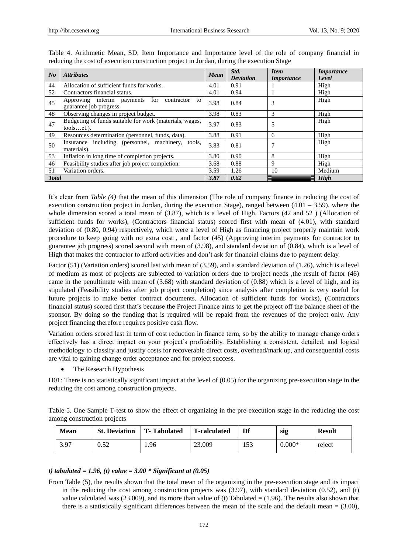| N <sub>o</sub> | <b>Attributes</b>                                                             | <b>Mean</b> | Std.<br><b>Deviation</b> | <b>Item</b><br><i>Importance</i> | <i>Importance</i><br>Level |
|----------------|-------------------------------------------------------------------------------|-------------|--------------------------|----------------------------------|----------------------------|
| 44             | Allocation of sufficient funds for works.                                     | 4.01        | 0.91                     |                                  | High                       |
| 52             | Contractors financial status.                                                 | 4.01        | 0.94                     |                                  | High                       |
| 45             | Approving interim payments for<br>contractor<br>to<br>guarantee job progress. |             | 0.84                     | 3                                | High                       |
| 48             | Observing changes in project budget.                                          | 3.98        | 0.83                     | 3                                | High                       |
| 47             | Budgeting of funds suitable for work (materials, wages,<br>$toolset.$ ).      |             | 0.83                     | 5                                | High                       |
| 49             | Resources determination (personnel, funds, data).                             | 3.88        | 0.91                     | 6                                | High                       |
| 50             | Insurance including (personnel, machinery, tools,<br>materials).              |             | 0.81                     |                                  | High                       |
| 53             | Inflation in long time of completion projects.                                |             | 0.90                     | 8                                | High                       |
| 46             | Feasibility studies after job project completion.                             |             | 0.88                     | 9                                | High                       |
| 51             | Variation orders.                                                             | 3.59        | 1.26                     | 10                               | Medium                     |
| <b>Total</b>   |                                                                               | 3.87        | 0.62                     |                                  | <b>High</b>                |

Table 4. Arithmetic Mean, SD, Item Importance and Importance level of the role of company financial in reducing the cost of execution construction project in Jordan, during the execution Stage

It's clear from *Table (4)* that the mean of this dimension (The role of company finance in reducing the cost of execution construction project in Jordan, during the execution Stage), ranged between (4.01 – 3.59), where the whole dimension scored a total mean of (3.87), which is a level of High. Factors (42 and 52) (Allocation of sufficient funds for works), (Contractors financial status) scored first with mean of (4.01), with standard deviation of (0.80, 0.94) respectively, which were a level of High as financing project properly maintain work procedure to keep going with no extra cost , and factor (45) (Approving interim payments for contractor to guarantee job progress) scored second with mean of (3.98), and standard deviation of (0.84), which is a level of High that makes the contractor to afford activities and don't ask for financial claims due to payment delay.

Factor (51) (Variation orders) scored last with mean of (3.59), and a standard deviation of (1.26), which is a level of medium as most of projects are subjected to variation orders due to project needs ,the result of factor (46) came in the penultimate with mean of (3.68) with standard deviation of (0.88) which is a level of high, and its stipulated (Feasibility studies after job project completion) since analysis after completion is very useful for future projects to make better contract documents. Allocation of sufficient funds for works), (Contractors financial status) scored first that's because the Project Finance aims to get the project off the balance sheet of the sponsor. By doing so the funding that is required will be repaid from the revenues of the project only. Any project financing therefore requires positive cash flow.

Variation orders scored last in term of cost reduction in finance term, so by the ability to manage change orders effectively has a direct impact on your project's profitability. Establishing a consistent, detailed, and logical methodology to classify and justify costs for recoverable direct costs, overhead/mark up, and consequential costs are vital to gaining change order acceptance and for project success.

The Research Hypothesis

H01: There is no statistically significant impact at the level of (0.05) for the organizing pre-execution stage in the reducing the cost among construction projects.

Table 5. One Sample T-test to show the effect of organizing in the pre-execution stage in the reducing the cost among construction projects

| <b>Mean</b> | <b>St. Deviation</b> | T-Tabulated | <b>T-calculated</b> | Df  | sig      | <b>Result</b> |
|-------------|----------------------|-------------|---------------------|-----|----------|---------------|
| 3.97        | 0.52                 | 1.96        | 23.009              | 153 | $0.000*$ | reject        |

## *t) tabulated = 1.96, (t) value = 3.00 \* Significant at (0.05)*

From Table (5), the results shown that the total mean of the organizing in the pre-execution stage and its impact in the reducing the cost among construction projects was (3.97), with standard deviation (0.52), and (t) value calculated was  $(23.009)$ , and its more than value of (t) Tabulated =  $(1.96)$ . The results also shown that there is a statistically significant differences between the mean of the scale and the default mean  $= (3.00)$ ,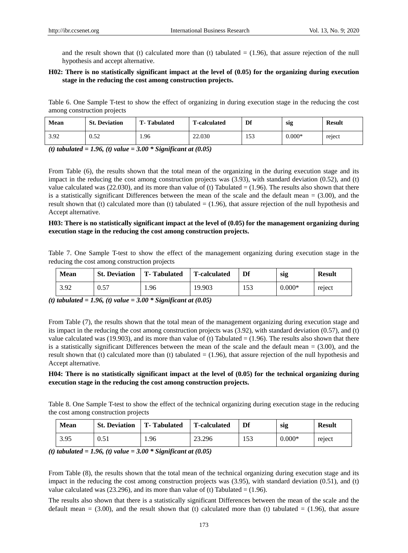and the result shown that (t) calculated more than (t) tabulated  $= (1.96)$ , that assure rejection of the null hypothesis and accept alternative.

# **H02: There is no statistically significant impact at the level of (0.05) for the organizing during execution stage in the reducing the cost among construction projects.**

Table 6. One Sample T-test to show the effect of organizing in during execution stage in the reducing the cost among construction projects

| Mean | <b>St. Deviation</b> | <b>T</b> -Tabulated | <b>T-calculated</b> | Df  | sig      | <b>Result</b> |
|------|----------------------|---------------------|---------------------|-----|----------|---------------|
| 3.92 | 0.52                 | .96                 | 22.030              | 153 | $0.000*$ | reject        |

*(t) tabulated = 1.96, (t) value = 3.00 \* Significant at (0.05)* 

From Table (6), the results shown that the total mean of the organizing in the during execution stage and its impact in the reducing the cost among construction projects was (3.93), with standard deviation (0.52), and (t) value calculated was (22.030), and its more than value of (t) Tabulated  $= (1.96)$ . The results also shown that there is a statistically significant Differences between the mean of the scale and the default mean  $= (3.00)$ , and the result shown that (t) calculated more than (t) tabulated  $= (1.96)$ , that assure rejection of the null hypothesis and Accept alternative.

### **H03: There is no statistically significant impact at the level of (0.05) for the management organizing during execution stage in the reducing the cost among construction projects.**

Table 7. One Sample T-test to show the effect of the management organizing during execution stage in the reducing the cost among construction projects

| <b>Mean</b> | <b>St. Deviation</b> | <b>T</b> -Tabulated | <b>T-calculated</b> | Df  | sig      | <b>Result</b> |
|-------------|----------------------|---------------------|---------------------|-----|----------|---------------|
| 3.92        | 0.57                 | . 96                | 19.903              | 153 | $0.000*$ | reject        |

*(t) tabulated = 1.96, (t) value = 3.00 \* Significant at (0.05)* 

From Table (7), the results shown that the total mean of the management organizing during execution stage and its impact in the reducing the cost among construction projects was (3.92), with standard deviation (0.57), and (t) value calculated was (19.903), and its more than value of (t) Tabulated  $= (1.96)$ . The results also shown that there is a statistically significant Differences between the mean of the scale and the default mean  $= (3.00)$ , and the result shown that (t) calculated more than (t) tabulated  $= (1.96)$ , that assure rejection of the null hypothesis and Accept alternative.

# **H04: There is no statistically significant impact at the level of (0.05) for the technical organizing during execution stage in the reducing the cost among construction projects.**

Table 8. One Sample T-test to show the effect of the technical organizing during execution stage in the reducing the cost among construction projects

| <b>Mean</b> | <b>St. Deviation</b> | T-Tabulated | <b>T-calculated</b> | Df  | sig      | <b>Result</b> |
|-------------|----------------------|-------------|---------------------|-----|----------|---------------|
| 3.95        | 0.51                 | 1.96        | 23.296              | 153 | $0.000*$ | reject        |

*(t) tabulated = 1.96, (t) value = 3.00 \* Significant at (0.05)* 

From Table (8), the results shown that the total mean of the technical organizing during execution stage and its impact in the reducing the cost among construction projects was (3.95), with standard deviation (0.51), and (t) value calculated was (23.296), and its more than value of (t) Tabulated  $= (1.96)$ .

The results also shown that there is a statistically significant Differences between the mean of the scale and the default mean  $= (3.00)$ , and the result shown that (t) calculated more than (t) tabulated  $= (1.96)$ , that assure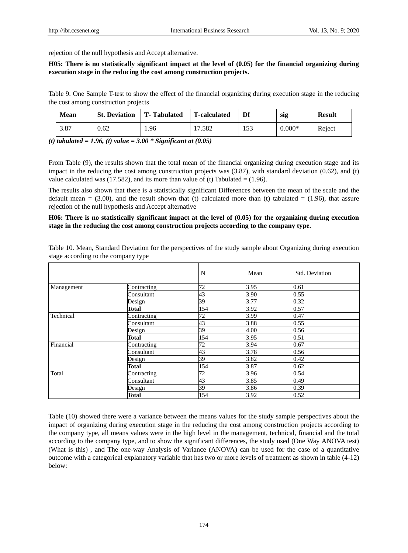rejection of the null hypothesis and Accept alternative.

# **H05: There is no statistically significant impact at the level of (0.05) for the financial organizing during execution stage in the reducing the cost among construction projects.**

Table 9. One Sample T-test to show the effect of the financial organizing during execution stage in the reducing the cost among construction projects

| <b>Mean</b> | <b>St. Deviation</b> | <b>T</b> -Tabulated | <b>T-calculated</b> | Df  | sig      | <b>Result</b> |
|-------------|----------------------|---------------------|---------------------|-----|----------|---------------|
| 3.87        | 0.62                 | 1.96                | '.582               | 153 | $0.000*$ | Reject        |

*(t) tabulated = 1.96, (t) value = 3.00 \* Significant at (0.05)* 

From Table (9), the results shown that the total mean of the financial organizing during execution stage and its impact in the reducing the cost among construction projects was  $(3.87)$ , with standard deviation  $(0.62)$ , and (t) value calculated was (17.582), and its more than value of (t) Tabulated  $= (1.96)$ .

The results also shown that there is a statistically significant Differences between the mean of the scale and the default mean  $= (3.00)$ , and the result shown that (t) calculated more than (t) tabulated  $= (1.96)$ , that assure rejection of the null hypothesis and Accept alternative

# **H06: There is no statistically significant impact at the level of (0.05) for the organizing during execution stage in the reducing the cost among construction projects according to the company type.**

Table 10. Mean, Standard Deviation for the perspectives of the study sample about Organizing during execution stage according to the company type

|            |              | N   | Mean | Std. Deviation |
|------------|--------------|-----|------|----------------|
| Management | Contracting  | 72  | 3.95 | 0.61           |
|            | Consultant   | 43  | 3.90 | 0.55           |
|            | Design       | 39  | 3.77 | 0.32           |
|            | <b>Total</b> | 154 | 3.92 | 0.57           |
| Technical  | Contracting  | 72  | 3.99 | 0.47           |
|            | Consultant   | 43  | 3.88 | 0.55           |
|            | Design       | 39  | 4.00 | 0.56           |
|            | <b>Total</b> | 154 | 3.95 | 0.51           |
| Financial  | Contracting  | 72  | 3.94 | 0.67           |
|            | Consultant   | 43  | 3.78 | 0.56           |
|            | Design       | 39  | 3.82 | 0.42           |
|            | Total        | 154 | 3.87 | 0.62           |
| Total      | Contracting  | 72  | 3.96 | 0.54           |
|            | Consultant   | 43  | 3.85 | 0.49           |
|            | Design       | 39  | 3.86 | 0.39           |
|            | Total        | 154 | 3.92 | 0.52           |

Table (10) showed there were a variance between the means values for the study sample perspectives about the impact of organizing during execution stage in the reducing the cost among construction projects according to the company type, all means values were in the high level in the management, technical, financial and the total according to the company type, and to show the significant differences, the study used (One Way ANOVA test) (What is this) , and The one-way Analysis of Variance (ANOVA) can be used for the case of a quantitative outcome with a categorical explanatory variable that has two or more levels of treatment as shown in table (4-12) below: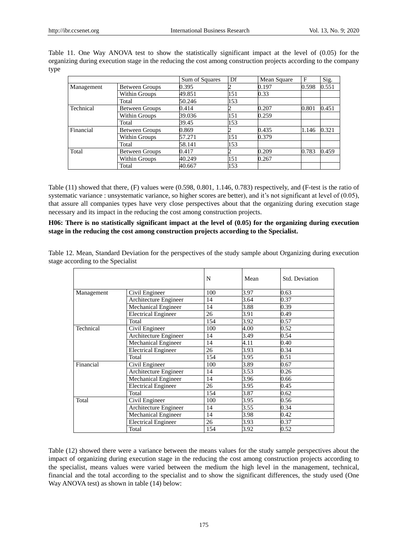Table 11. One Way ANOVA test to show the statistically significant impact at the level of (0.05) for the organizing during execution stage in the reducing the cost among construction projects according to the company type

|            |                       | Sum of Squares | Df  | Mean Square | F     | Sig.  |
|------------|-----------------------|----------------|-----|-------------|-------|-------|
| Management | Between Groups        | 0.395          |     | 0.197       | 0.598 | 0.551 |
|            | Within Groups         | 49.851         | 151 | 0.33        |       |       |
|            | Total                 | 50.246         | 153 |             |       |       |
| Technical  | <b>Between Groups</b> | 0.414          |     | 0.207       | 0.801 | 0.451 |
|            | Within Groups         | 39.036         | 151 | 0.259       |       |       |
|            | Total                 | 39.45          | 153 |             |       |       |
| Financial  | <b>Between Groups</b> | 0.869          |     | 0.435       | 1.146 | 0.321 |
|            | Within Groups         | 57.271         | 151 | 0.379       |       |       |
|            | Total                 | 58.141         | 153 |             |       |       |
| Total      | <b>Between Groups</b> | 0.417          |     | 0.209       | 0.783 | 0.459 |
|            | Within Groups         | 40.249         | 151 | 0.267       |       |       |
|            | Total                 | 40.667         | 153 |             |       |       |

Table (11) showed that there, (F) values were (0.598, 0.801, 1.146, 0.783) respectively, and (F-test is the ratio of systematic variance : unsystematic variance, so higher scores are better), and it's not significant at level of (0.05), that assure all companies types have very close perspectives about that the organizing during execution stage necessary and its impact in the reducing the cost among construction projects.

# **H06: There is no statistically significant impact at the level of (0.05) for the organizing during execution stage in the reducing the cost among construction projects according to the Specialist.**

Table 12. Mean, Standard Deviation for the perspectives of the study sample about Organizing during execution stage according to the Specialist

|            |                              | N   | Mean | Std. Deviation |
|------------|------------------------------|-----|------|----------------|
| Management | Civil Engineer               | 100 | 3.97 | 0.63           |
|            | Architecture Engineer        | 14  | 3.64 | 0.37           |
|            | Mechanical Engineer          | 14  | 3.88 | 0.39           |
|            | <b>Electrical Engineer</b>   | 26  | 3.91 | 0.49           |
|            | Total                        | 154 | 3.92 | 0.57           |
| Technical  | Civil Engineer               | 100 | 4.00 | 0.52           |
|            | Architecture Engineer        | 14  | 3.49 | 0.54           |
|            | <b>Mechanical Engineer</b>   | 14  | 4.11 | 0.40           |
|            | <b>Electrical Engineer</b>   | 26  | 3.93 | 0.34           |
|            | Total                        | 154 | 3.95 | 0.51           |
| Financial  | Civil Engineer               | 100 | 3.89 | 0.67           |
|            | <b>Architecture Engineer</b> | 14  | 3.53 | 0.26           |
|            | Mechanical Engineer          | 14  | 3.96 | 0.66           |
|            | <b>Electrical Engineer</b>   | 26  | 3.95 | 0.45           |
|            | Total                        | 154 | 3.87 | 0.62           |
| Total      | Civil Engineer               | 100 | 3.95 | 0.56           |
|            | Architecture Engineer        | 14  | 3.55 | 0.34           |
|            | Mechanical Engineer          | 14  | 3.98 | 0.42           |
|            | <b>Electrical Engineer</b>   | 26  | 3.93 | 0.37           |
|            | Total                        | 154 | 3.92 | 0.52           |

Table (12) showed there were a variance between the means values for the study sample perspectives about the impact of organizing during execution stage in the reducing the cost among construction projects according to the specialist, means values were varied between the medium the high level in the management, technical, financial and the total according to the specialist and to show the significant differences, the study used (One Way ANOVA test) as shown in table (14) below: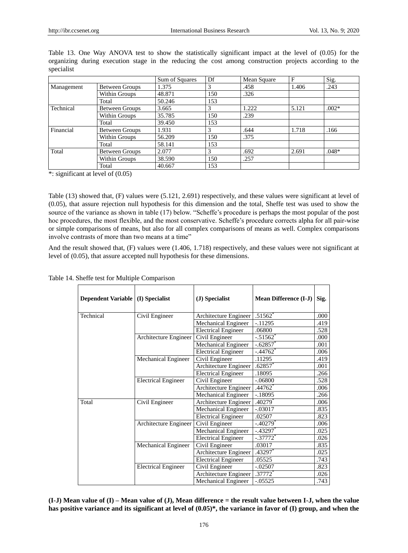|            |                       | Sum of Squares | Df  | Mean Square | F     | Sig.    |
|------------|-----------------------|----------------|-----|-------------|-------|---------|
| Management | Between Groups        | 1.375          | 3   | .458        | 1.406 | .243    |
|            | Within Groups         | 48.871         | 150 | .326        |       |         |
|            | Total                 | 50.246         | 153 |             |       |         |
| Technical  | <b>Between Groups</b> | 3.665          | 3   | 1.222       | 5.121 | $.002*$ |
|            | Within Groups         | 35.785         | 150 | .239        |       |         |
|            | Total                 | 39.450         | 153 |             |       |         |
| Financial  | Between Groups        | 1.931          | 3   | .644        | 1.718 | .166    |
|            | Within Groups         | 56.209         | 150 | .375        |       |         |
|            | Total                 | 58.141         | 153 |             |       |         |
| Total      | Between Groups        | 2.077          | 3   | .692        | 2.691 | $.048*$ |
|            | Within Groups         | 38.590         | 150 | .257        |       |         |
|            | Total                 | 40.667         | 153 |             |       |         |

Table 13. One Way ANOVA test to show the statistically significant impact at the level of (0.05) for the organizing during execution stage in the reducing the cost among construction projects according to the specialist

\*: significant at level of (0.05)

Table (13) showed that, (F) values were (5.121, 2.691) respectively, and these values were significant at level of (0.05), that assure rejection null hypothesis for this dimension and the total, Sheffe test was used to show the source of the variance as shown in table (17) below. "Scheffe's procedure is perhaps the most popular of the post hoc procedures, the most flexible, and the most conservative. Scheffe's procedure corrects alpha for all pair-wise or simple comparisons of means, but also for all complex comparisons of means as well. Complex comparisons involve contrasts of more than two means at a time"

And the result showed that, (F) values were (1.406, 1.718) respectively, and these values were not significant at level of (0.05), that assure accepted null hypothesis for these dimensions.

| Dependent Variable (I) Specialist |                            | (J) Specialist             | <b>Mean Difference (I-J)</b> | Sig. |
|-----------------------------------|----------------------------|----------------------------|------------------------------|------|
| Technical                         | Civil Engineer             | Architecture Engineer      | .51562                       | .000 |
|                                   |                            | Mechanical Engineer        | $-.11295$                    | .419 |
|                                   |                            | <b>Electrical Engineer</b> | .06800                       | .528 |
|                                   | Architecture Engineer      | Civil Engineer             | $-.51562$                    | .000 |
|                                   |                            | <b>Mechanical Engineer</b> | $-.62857$                    | .001 |
|                                   |                            | <b>Electrical Engineer</b> | $-.44762$ <sup>*</sup>       | .006 |
|                                   | Mechanical Engineer        | Civil Engineer             | .11295                       | .419 |
|                                   |                            | Architecture Engineer      | .62857                       | .001 |
|                                   |                            | <b>Electrical Engineer</b> | .18095                       | .266 |
|                                   | <b>Electrical Engineer</b> | Civil Engineer             | $-.06800$                    | .528 |
|                                   |                            | Architecture Engineer      | .44762                       | .006 |
|                                   |                            | Mechanical Engineer        | $-18095$                     | .266 |
| Total                             | Civil Engineer             | Architecture Engineer      | $.40279$ <sup>*</sup>        | .006 |
|                                   |                            | Mechanical Engineer        | $-.03017$                    | .835 |
|                                   |                            | <b>Electrical Engineer</b> | .02507                       | .823 |
|                                   | Architecture Engineer      | Civil Engineer             | $-.40279$                    | .006 |
|                                   |                            | Mechanical Engineer        | $-.43297$                    | .025 |
|                                   |                            | <b>Electrical Engineer</b> | $-.37772$ <sup>*</sup>       | .026 |
|                                   | Mechanical Engineer        | Civil Engineer             | .03017                       | .835 |
|                                   |                            | Architecture Engineer      | $.43297$ *                   | .025 |
|                                   |                            | <b>Electrical Engineer</b> | .05525                       | .743 |
|                                   | <b>Electrical Engineer</b> | Civil Engineer             | $-.02507$                    | .823 |
|                                   |                            | Architecture Engineer      | $.37772*$                    | .026 |
|                                   |                            | Mechanical Engineer        | $-0.05525$                   | .743 |

Table 14. Sheffe test for Multiple Comparison

**(I-J) Mean value of (I) – Mean value of (J), Mean difference = the result value between I-J, when the value has positive variance and its significant at level of (0.05)\*, the variance in favor of (I) group, and when the**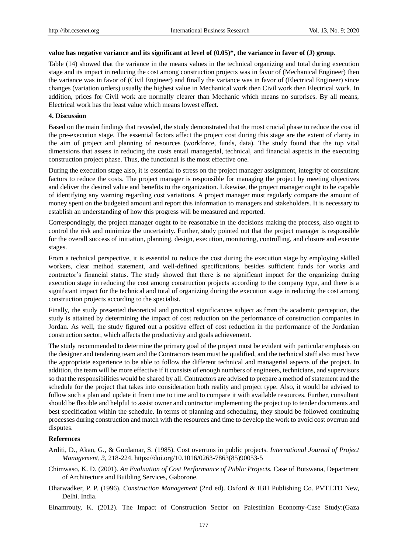# **value has negative variance and its significant at level of (0.05)\*, the variance in favor of (J) group.**

Table (14) showed that the variance in the means values in the technical organizing and total during execution stage and its impact in reducing the cost among construction projects was in favor of (Mechanical Engineer) then the variance was in favor of (Civil Engineer) and finally the variance was in favor of (Electrical Engineer) since changes (variation orders) usually the highest value in Mechanical work then Civil work then Electrical work. In addition, prices for Civil work are normally clearer than Mechanic which means no surprises. By all means, Electrical work has the least value which means lowest effect.

#### **4. Discussion**

Based on the main findings that revealed, the study demonstrated that the most crucial phase to reduce the cost id the pre-execution stage. The essential factors affect the project cost during this stage are the extent of clarity in the aim of project and planning of resources (workforce, funds, data). The study found that the top vital dimensions that assess in reducing the costs entail managerial, technical, and financial aspects in the executing construction project phase. Thus, the functional is the most effective one.

During the execution stage also, it is essential to stress on the project manager assignment, integrity of consultant factors to reduce the costs. The project manager is responsible for managing the project by meeting objectives and deliver the desired value and benefits to the organization. Likewise, the project manager ought to be capable of identifying any warning regarding cost variations. A project manager must regularly compare the amount of money spent on the budgeted amount and report this information to managers and stakeholders. It is necessary to establish an understanding of how this progress will be measured and reported.

Correspondingly, the project manager ought to be reasonable in the decisions making the process, also ought to control the risk and minimize the uncertainty. Further, study pointed out that the project manager is responsible for the overall success of initiation, planning, design, execution, monitoring, controlling, and closure and execute stages.

From a technical perspective, it is essential to reduce the cost during the execution stage by employing skilled workers, clear method statement, and well-defined specifications, besides sufficient funds for works and contractor's financial status. The study showed that there is no significant impact for the organizing during execution stage in reducing the cost among construction projects according to the company type, and there is a significant impact for the technical and total of organizing during the execution stage in reducing the cost among construction projects according to the specialist.

Finally, the study presented theoretical and practical significances subject as from the academic perception, the study is attained by determining the impact of cost reduction on the performance of construction companies in Jordan. As well, the study figured out a positive effect of cost reduction in the performance of the Jordanian construction sector, which affects the productivity and goals achievement.

The study recommended to determine the primary goal of the project must be evident with particular emphasis on the designer and tendering team and the Contractors team must be qualified, and the technical staff also must have the appropriate experience to be able to follow the different technical and managerial aspects of the project. In addition, the team will be more effective if it consists of enough numbers of engineers, technicians, and supervisors so that the responsibilities would be shared by all. Contractors are advised to prepare a method of statement and the schedule for the project that takes into consideration both reality and project type. Also, it would be advised to follow such a plan and update it from time to time and to compare it with available resources. Further, consultant should be flexible and helpful to assist owner and contractor implementing the project up to tender documents and best specification within the schedule. In terms of planning and scheduling, they should be followed continuing processes during construction and match with the resources and time to develop the work to avoid cost overrun and disputes.

## **References**

- Arditi, D., Akan, G., & Gurdamar, S. (1985). Cost overruns in public projects. *International Journal of Project Management, 3,* 218-224. https://doi.org/10.1016/0263-7863(85)90053-5
- Chimwaso, K. D. (2001)*. An Evaluation of Cost Performance of Public Projects.* Case of Botswana, Department of Architecture and Building Services, Gaborone.
- Dharwadker, P. P. (1996). *Construction Management* (2nd ed). Oxford & IBH Publishing Co. PVT.LTD New, Delhi. India.
- Elnamrouty, K. (2012). The Impact of Construction Sector on Palestinian Economy-Case Study:(Gaza